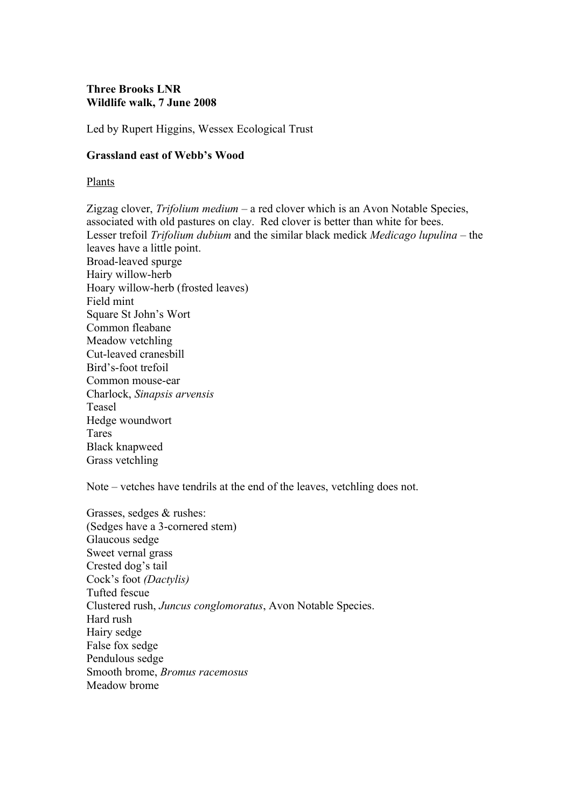# **Three Brooks LNR Wildlife walk, 7 June 2008**

Led by Rupert Higgins, Wessex Ecological Trust

### **Grassland east of Webb's Wood**

Plants

Zigzag clover, *Trifolium medium* – a red clover which is an Avon Notable Species, associated with old pastures on clay. Red clover is better than white for bees. Lesser trefoil *Trifolium dubium* and the similar black medick *Medicago lupulina* – the leaves have a little point. Broad-leaved spurge Hairy willow-herb Hoary willow-herb (frosted leaves) Field mint Square St John's Wort Common fleabane Meadow vetchling Cut-leaved cranesbill Bird's-foot trefoil Common mouse-ear Charlock, *Sinapsis arvensis* Teasel Hedge woundwort Tares Black knapweed Grass vetchling

Note – vetches have tendrils at the end of the leaves, vetchling does not.

Grasses, sedges & rushes: (Sedges have a 3-cornered stem) Glaucous sedge Sweet vernal grass Crested dog's tail Cock's foot *(Dactylis)* Tufted fescue Clustered rush, *Juncus conglomoratus*, Avon Notable Species. Hard rush Hairy sedge False fox sedge Pendulous sedge Smooth brome, *Bromus racemosus* Meadow brome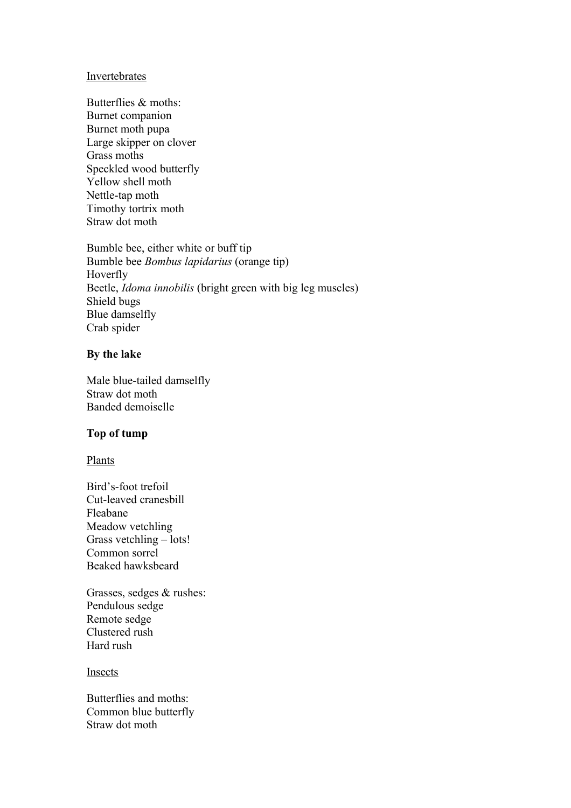#### In vertebrates

Butterflies & moths: Burnet companion Burnet moth pupa Large skipper on clover Grass moths Speckled wood butterfly Yellow shell moth Nettle-tap moth Timothy tortrix moth Straw dot moth

Bumble bee, either white or buff tip Bumble bee *Bombus lapidarius* (orange tip) Hoverfly Beetle, *Idoma innobilis* (bright green with big leg muscles) Shield bugs Blue damselfly Crab spider

### **By the lake**

Male blue-tailed damselfly Straw dot moth Banded demoiselle

### **Top of tump**

Plants

Bird's-foot trefoil Cut-leaved cranesbill Fleabane Meadow vetchling Grass vetchling – lots! Common sorrel Beaked hawksbeard

Grasses, sedges & rushes: Pendulous sedge Remote sedge Clustered rush Hard rush

# Insects

Butterflies and moths: Common blue butterfly Straw dot moth